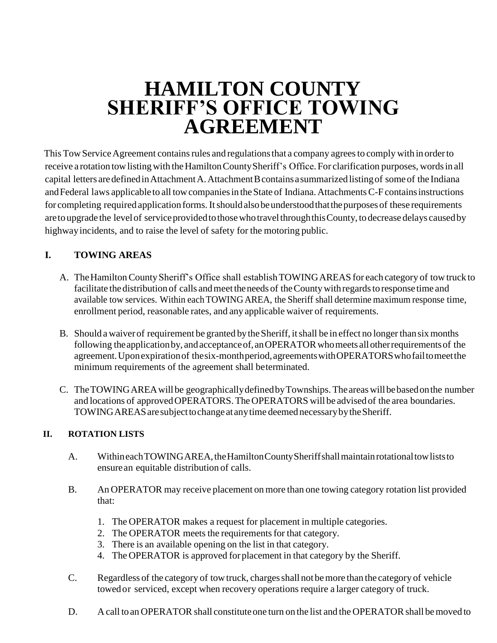# **HAMILTON COUNTY SHERIFF'S OFFICE TOWING AGREEMENT**

This Tow Service Agreement contains rules and regulations that a company agrees to comply with in order to receive a rotation tow listing with the Hamilton County Sheriff's Office. For clarification purposes, words in all capital letters are defined in Attachment A. Attachment B contains a summarized listing of some of the Indiana and Federal laws applicable to all tow companies in the State of Indiana. Attachments C-F contains instructions for completing required application forms. It should also be understood that the purposes of these requirements are to upgrade the level of service provided to those who travel through this County, to decrease delays caused by highwayincidents, and to raise the level of safety for the motoring public.

# **I. TOWING AREAS**

- A. The Hamilton County Sheriff's Office shall establish TOWING AREAS for each category of tow truck to facilitate the distribution of calls and meet the needs of the County with regards to response time and available tow services. Within each TOWING AREA, the Sheriff shall determine maximum response time, enrollment period, reasonable rates, and any applicable waiver of requirements.
- B. Should a waiver of requirement be granted by the Sheriff, it shall be in effect no longer than six months following the application by, and acceptance of, an OPERATOR who meets all other requirements of the agreement.Uponexpirationof thesix-monthperiod,agreementswithOPERATORSwhofailtomeetthe minimum requirements of the agreement shall beterminated.
- C. TheTOWINGAREAwill be geographicallydefinedbyTownships. The areaswillbebasedonthe number and locations of approved OPERATORS. The OPERATORS will be advised of the area boundaries. TOWINGAREASaresubjecttochange at anytime deemed necessarybytheSheriff.

# **II. ROTATION LISTS**

- A. Withineach TOWINGAREA, the Hamilton County Sheriff shall maintain rotational tow lists to ensurean equitable distribution of calls.
- B. An OPERATOR may receive placement on more than one towing category rotation list provided that:
	- 1. The OPERATOR makes a request for placement in multiple categories.
	- 2. The OPERATOR meets the requirements for that category.
	- 3. There is an available opening on the list in that category.
	- 4. The OPERATOR is approved forplacement in that category by the Sheriff.
- C. Regardless of the category of towtruck, chargesshall not bemore than the category of vehicle towedor serviced, except when recovery operations require a larger category of truck.
- D. A call to an OPERATOR shall constitute one turn on the list and the OPERATOR shall be moved to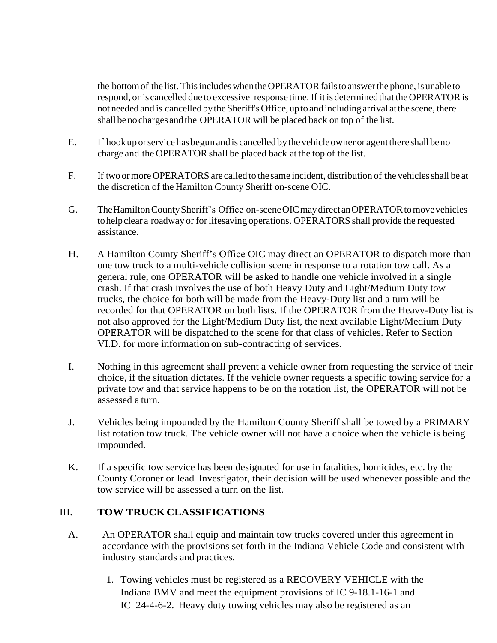the bottom of the list. This includes when the OPERATOR fails to answer the phone, is unable to respond, or is cancelled due to excessive response time. If it is determined that the OPERATOR is not needed and is cancelled bytheSheriff'sOffice, upto and including arrival atthe scene, there shall beno charges and the OPERATOR will be placed back on top of the list.

- E. If hookup orservice hasbegunandis cancelled bythevehicleowner or agentthere shall beno charge and the OPERATOR shall be placed back at the top of the list.
- F. If two ormore OPERATORS are called to thesame incident, distribution of the vehiclesshall be at the discretion of the Hamilton County Sheriff on-scene OIC.
- G. TheHamiltonCountySheriff's Office on-sceneOICmaydirect anOPERATORtomovevehicles tohelpclear a roadway or for lifesaving operations. OPERATORS shall provide the requested assistance.
- H. A Hamilton County Sheriff's Office OIC may direct an OPERATOR to dispatch more than one tow truck to a multi-vehicle collision scene in response to a rotation tow call. As a general rule, one OPERATOR will be asked to handle one vehicle involved in a single crash. If that crash involves the use of both Heavy Duty and Light/Medium Duty tow trucks, the choice for both will be made from the Heavy-Duty list and a turn will be recorded for that OPERATOR on both lists. If the OPERATOR from the Heavy-Duty list is not also approved for the Light/Medium Duty list, the next available Light/Medium Duty OPERATOR will be dispatched to the scene for that class of vehicles. Refer to Section VI.D. for more information on sub-contracting of services.
- I. Nothing in this agreement shall prevent a vehicle owner from requesting the service of their choice, if the situation dictates. If the vehicle owner requests a specific towing service for a private tow and that service happens to be on the rotation list, the OPERATOR will not be assessed a turn.
- J. Vehicles being impounded by the Hamilton County Sheriff shall be towed by a PRIMARY list rotation tow truck. The vehicle owner will not have a choice when the vehicle is being impounded.
- K. If a specific tow service has been designated for use in fatalities, homicides, etc. by the County Coroner or lead Investigator, their decision will be used whenever possible and the tow service will be assessed a turn on the list.

# III. **TOW TRUCK CLASSIFICATIONS**

- A. An OPERATOR shall equip and maintain tow trucks covered under this agreement in accordance with the provisions set forth in the Indiana Vehicle Code and consistent with industry standards and practices.
	- 1. Towing vehicles must be registered as a RECOVERY VEHICLE with the Indiana BMV and meet the equipment provisions of IC 9-18.1-16-1 and IC 24-4-6-2. Heavy duty towing vehicles may also be registered as an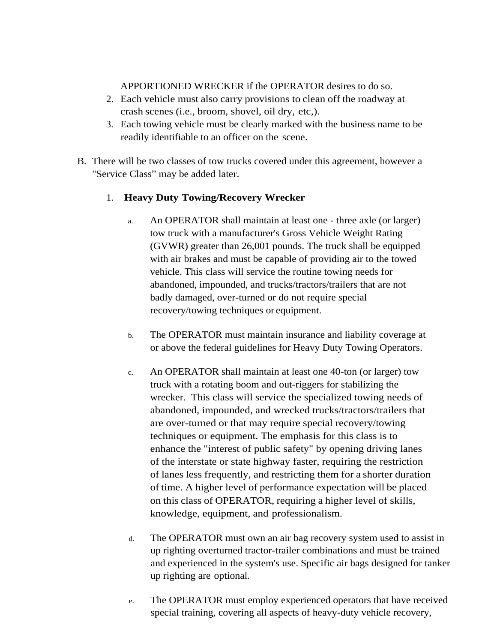### APPORTIONED WRECKER if the OPERATOR desires to do so.

- 2. Each vehicle must also carry provisions to clean off the roadway at crash scenes (i.e., broom, shovel, oil dry, etc,).
- 3. Each towing vehicle must be clearly marked with the business name to be readily identifiable to an officer on the scene.
- B. There will be two classes of tow trucks covered under this agreement, however a "Service Class" may be added later.

# 1. **Heavy Duty Towing/Recovery Wrecker**

- a. An OPERATOR shall maintain at least one three axle (or larger) tow truck with a manufacturer's Gross Vehicle Weight Rating (GVWR) greater than 26,001 pounds. The truck shall be equipped with air brakes and must be capable of providing air to the towed vehicle. This class will service the routine towing needs for abandoned, impounded, and trucks/tractors/trailers that are not badly damaged, over-turned or do not require special recovery/towing techniques or equipment.
- b. The OPERATOR must maintain insurance and liability coverage at or above the federal guidelines for Heavy Duty Towing Operators.
- c. An OPERATOR shall maintain at least one 40-ton (or larger) tow truck with a rotating boom and out-riggers for stabilizing the wrecker. This class will service the specialized towing needs of abandoned, impounded, and wrecked trucks/tractors/trailers that are over-turned or that may require special recovery/towing techniques or equipment. The emphasis for this class is to enhance the "interest of public safety" by opening driving lanes of the interstate or state highway faster, requiring the restriction of lanes less frequently, and restricting them for a shorter duration of time. A higher level of performance expectation will be placed on this class of OPERATOR, requiring a higher level of skills, knowledge, equipment, and professionalism.
- d. The OPERATOR must own an air bag recovery system used to assist in up righting overturned tractor-trailer combinations and must be trained and experienced in the system's use. Specific air bags designed for tanker up righting are optional.
- e. The OPERATOR must employ experienced operators that have received special training, covering all aspects of heavy-duty vehicle recovery,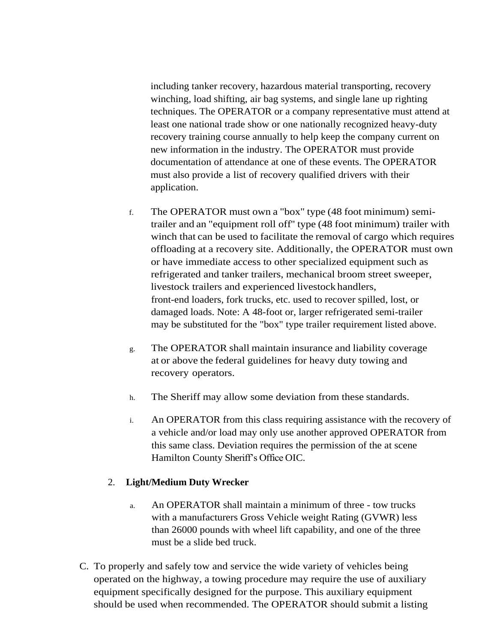including tanker recovery, hazardous material transporting, recovery winching, load shifting, air bag systems, and single lane up righting techniques. The OPERATOR or a company representative must attend at least one national trade show or one nationally recognized heavy-duty recovery training course annually to help keep the company current on new information in the industry. The OPERATOR must provide documentation of attendance at one of these events. The OPERATOR must also provide a list of recovery qualified drivers with their application.

- f. The OPERATOR must own a "box" type (48 foot minimum) semitrailer and an "equipment roll off'' type (48 foot minimum) trailer with winch that can be used to facilitate the removal of cargo which requires offloading at a recovery site. Additionally, the OPERATOR must own or have immediate access to other specialized equipment such as refrigerated and tanker trailers, mechanical broom street sweeper, livestock trailers and experienced livestock handlers, front-end loaders, fork trucks, etc. used to recover spilled, lost, or damaged loads. Note: A 48-foot or, larger refrigerated semi-trailer may be substituted for the "box" type trailer requirement listed above.
- g. The OPERATOR shall maintain insurance and liability coverage at or above the federal guidelines for heavy duty towing and recovery operators.
- h. The Sheriff may allow some deviation from these standards.
- i. An OPERATOR from this class requiring assistance with the recovery of a vehicle and/or load may only use another approved OPERATOR from this same class. Deviation requires the permission of the at scene Hamilton County Sheriff's Office OIC.

# 2. **Light/Medium Duty Wrecker**

- a. An OPERATOR shall maintain a minimum of three tow trucks with a manufacturers Gross Vehicle weight Rating (GVWR) less than 26000 pounds with wheel lift capability, and one of the three must be a slide bed truck.
- C. To properly and safely tow and service the wide variety of vehicles being operated on the highway, a towing procedure may require the use of auxiliary equipment specifically designed for the purpose. This auxiliary equipment should be used when recommended. The OPERATOR should submit a listing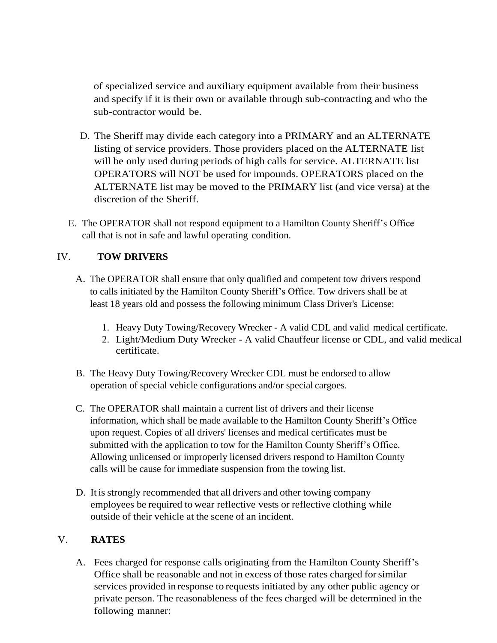of specialized service and auxiliary equipment available from their business and specify if it is their own or available through sub-contracting and who the sub-contractor would be.

- D. The Sheriff may divide each category into a PRIMARY and an ALTERNATE listing of service providers. Those providers placed on the ALTERNATE list will be only used during periods of high calls for service. ALTERNATE list OPERATORS will NOT be used for impounds. OPERATORS placed on the ALTERNATE list may be moved to the PRIMARY list (and vice versa) at the discretion of the Sheriff.
- E. The OPERATOR shall not respond equipment to a Hamilton County Sheriff's Office call that is not in safe and lawful operating condition.

# IV. **TOW DRIVERS**

- A. The OPERATOR shall ensure that only qualified and competent tow drivers respond to calls initiated by the Hamilton County Sheriff's Office. Tow drivers shall be at least 18 years old and possess the following minimum Class Driver's License:
	- 1. Heavy Duty Towing/Recovery Wrecker A valid CDL and valid medical certificate.
	- 2. Light/Medium Duty Wrecker A valid Chauffeur license or CDL, and valid medical certificate.
- B. The Heavy Duty Towing/Recovery Wrecker CDL must be endorsed to allow operation of special vehicle configurations and/or special cargoes.
- C. The OPERATOR shall maintain a current list of drivers and their license information, which shall be made available to the Hamilton County Sheriff's Office upon request. Copies of all drivers' licenses and medical certificates must be submitted with the application to tow for the Hamilton County Sheriff's Office. Allowing unlicensed or improperly licensed drivers respond to Hamilton County calls will be cause for immediate suspension from the towing list.
- D. It is strongly recommended that all drivers and other towing company employees be required to wear reflective vests or reflective clothing while outside of their vehicle at the scene of an incident.

# V. **RATES**

A. Fees charged for response calls originating from the Hamilton County Sheriff's Office shall be reasonable and not in excess of those rates charged forsimilar services provided in response to requests initiated by any other public agency or private person. The reasonableness of the fees charged will be determined in the following manner: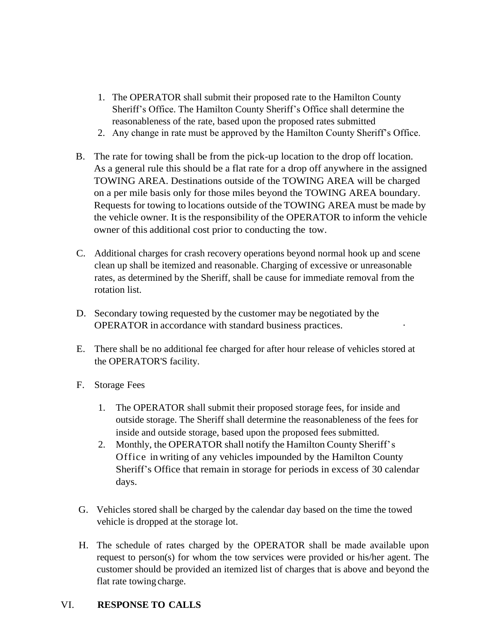- 1. The OPERATOR shall submit their proposed rate to the Hamilton County Sheriff's Office. The Hamilton County Sheriff's Office shall determine the reasonableness of the rate, based upon the proposed rates submitted
- 2. Any change in rate must be approved by the Hamilton County Sheriff's Office.
- B. The rate for towing shall be from the pick-up location to the drop off location. As a general rule this should be a flat rate for a drop off anywhere in the assigned TOWING AREA. Destinations outside of the TOWING AREA will be charged on a per mile basis only for those miles beyond the TOWING AREA boundary. Requests for towing to locations outside of the TOWING AREA must be made by the vehicle owner. It is the responsibility of the OPERATOR to inform the vehicle owner of this additional cost prior to conducting the tow.
- C. Additional charges for crash recovery operations beyond normal hook up and scene clean up shall be itemized and reasonable. Charging of excessive or unreasonable rates, as determined by the Sheriff, shall be cause for immediate removal from the rotation list.
- D. Secondary towing requested by the customer may be negotiated by the OPERATOR in accordance with standard business practices. ·
- E. There shall be no additional fee charged for after hour release of vehicles stored at the OPERATOR'S facility.
- F. Storage Fees
	- 1. The OPERATOR shall submit their proposed storage fees, for inside and outside storage. The Sheriff shall determine the reasonableness of the fees for inside and outside storage, based upon the proposed fees submitted.
	- 2. Monthly, the OPERATOR shall notify the Hamilton County Sheriff's Office in writing of any vehicles impounded by the Hamilton County Sheriff's Office that remain in storage for periods in excess of 30 calendar days.
- G. Vehicles stored shall be charged by the calendar day based on the time the towed vehicle is dropped at the storage lot.
- H. The schedule of rates charged by the OPERATOR shall be made available upon request to person(s) for whom the tow services were provided or his/her agent. The customer should be provided an itemized list of charges that is above and beyond the flat rate towing charge.

# VI. **RESPONSE TO CALLS**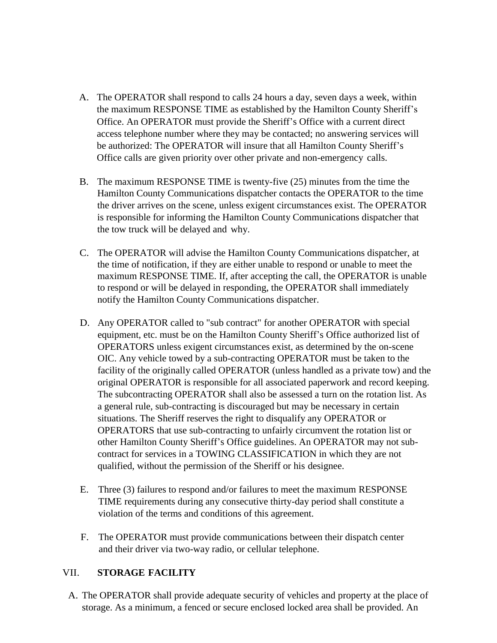- A. The OPERATOR shall respond to calls 24 hours a day, seven days a week, within the maximum RESPONSE TIME as established by the Hamilton County Sheriff's Office. An OPERATOR must provide the Sheriff's Office with a current direct access telephone number where they may be contacted; no answering services will be authorized: The OPERATOR will insure that all Hamilton County Sheriff's Office calls are given priority over other private and non-emergency calls.
- B. The maximum RESPONSE TIME is twenty-five (25) minutes from the time the Hamilton County Communications dispatcher contacts the OPERATOR to the time the driver arrives on the scene, unless exigent circumstances exist. The OPERATOR is responsible for informing the Hamilton County Communications dispatcher that the tow truck will be delayed and why.
- C. The OPERATOR will advise the Hamilton County Communications dispatcher, at the time of notification, if they are either unable to respond or unable to meet the maximum RESPONSE TIME. If, after accepting the call, the OPERATOR is unable to respond or will be delayed in responding, the OPERATOR shall immediately notify the Hamilton County Communications dispatcher.
- D. Any OPERATOR called to "sub contract" for another OPERATOR with special equipment, etc. must be on the Hamilton County Sheriff's Office authorized list of OPERATORS unless exigent circumstances exist, as determined by the on-scene OIC. Any vehicle towed by a sub-contracting OPERATOR must be taken to the facility of the originally called OPERATOR (unless handled as a private tow) and the original OPERATOR is responsible for all associated paperwork and record keeping. The subcontracting OPERATOR shall also be assessed a turn on the rotation list. As a general rule, sub-contracting is discouraged but may be necessary in certain situations. The Sheriff reserves the right to disqualify any OPERATOR or OPERATORS that use sub-contracting to unfairly circumvent the rotation list or other Hamilton County Sheriff's Office guidelines. An OPERATOR may not subcontract for services in a TOWING CLASSIFICATION in which they are not qualified, without the permission of the Sheriff or his designee.
- E. Three (3) failures to respond and/or failures to meet the maximum RESPONSE TIME requirements during any consecutive thirty-day period shall constitute a violation of the terms and conditions of this agreement.
- F. The OPERATOR must provide communications between their dispatch center and their driver via two-way radio, or cellular telephone.

# VII. **STORAGE FACILITY**

A. The OPERATOR shall provide adequate security of vehicles and property at the place of storage. As a minimum, a fenced or secure enclosed locked area shall be provided. An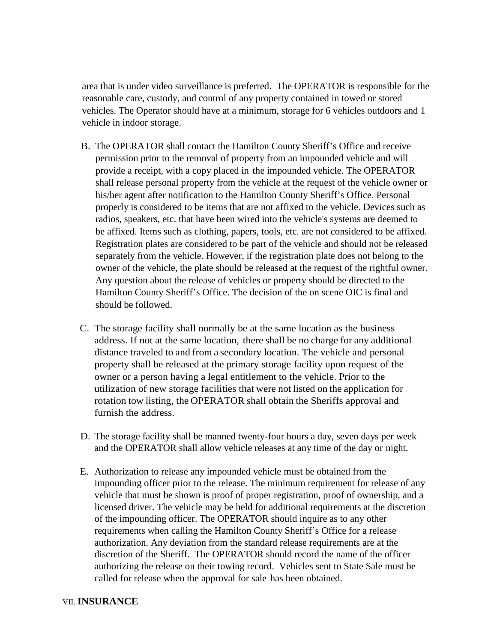area that is under video surveillance is preferred. The OPERATOR is responsible for the reasonable care, custody, and control of any property contained in towed or stored vehicles. The Operator should have at a minimum, storage for 6 vehicles outdoors and 1 vehicle in indoor storage.

- B. The OPERATOR shall contact the Hamilton County Sheriff's Office and receive permission prior to the removal of property from an impounded vehicle and will provide a receipt, with a copy placed in the impounded vehicle. The OPERATOR shall release personal property from the vehicle at the request of the vehicle owner or his/her agent after notification to the Hamilton County Sheriff's Office. Personal properly is considered to be items that are not affixed to the vehicle. Devices such as radios, speakers, etc. that have been wired into the vehicle's systems are deemed to be affixed. Items such as clothing, papers, tools, etc. are not considered to be affixed. Registration plates are considered to be part of the vehicle and should not be released separately from the vehicle. However, if the registration plate does not belong to the owner of the vehicle, the plate should be released at the request of the rightful owner. Any question about the release of vehicles or property should be directed to the Hamilton County Sheriff's Office. The decision of the on scene OIC is final and should be followed.
- C. The storage facility shall normally be at the same location as the business address. If not at the same location, there shall be no charge for any additional distance traveled to and from a secondary location. The vehicle and personal property shall be released at the primary storage facility upon request of the owner or a person having a legal entitlement to the vehicle. Prior to the utilization of new storage facilities that were not listed on the application for rotation tow listing, the OPERATOR shall obtain the Sheriffs approval and furnish the address.
- D. The storage facility shall be manned twenty-four hours a day, seven days per week and the OPERATOR shall allow vehicle releases at any time of the day or night.
- E. Authorization to release any impounded vehicle must be obtained from the impounding officer prior to the release. The minimum requirement for release of any vehicle that must be shown is proof of proper registration, proof of ownership, and a licensed driver. The vehicle may be held for additional requirements at the discretion of the impounding officer. The OPERATOR should inquire as to any other requirements when calling the Hamilton County Sheriff's Office for a release authorization. Any deviation from the standard release requirements are at the discretion of the Sheriff. The OPERATOR should record the name of the officer authorizing the release on their towing record. Vehicles sent to State Sale must be called for release when the approval for sale has been obtained.

#### VII. **INSURANCE**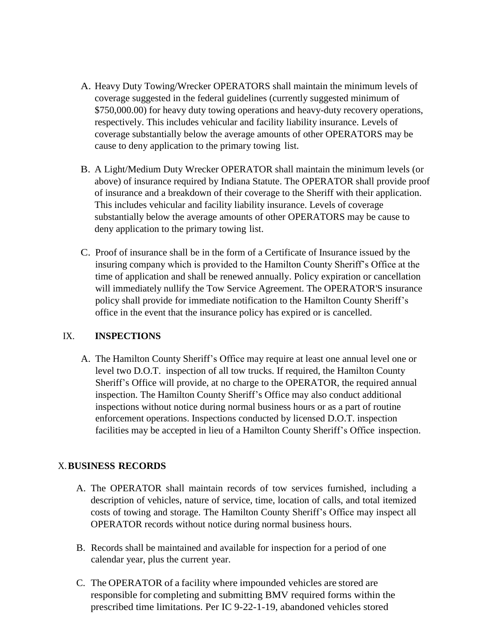- A. Heavy Duty Towing/Wrecker OPERATORS shall maintain the minimum levels of coverage suggested in the federal guidelines (currently suggested minimum of \$750,000.00) for heavy duty towing operations and heavy-duty recovery operations, respectively. This includes vehicular and facility liability insurance. Levels of coverage substantially below the average amounts of other OPERATORS may be cause to deny application to the primary towing list.
- B. A Light/Medium Duty Wrecker OPERATOR shall maintain the minimum levels (or above) of insurance required by Indiana Statute. The OPERATOR shall provide proof of insurance and a breakdown of their coverage to the Sheriff with their application. This includes vehicular and facility liability insurance. Levels of coverage substantially below the average amounts of other OPERATORS may be cause to deny application to the primary towing list.
- C. Proof of insurance shall be in the form of a Certificate of Insurance issued by the insuring company which is provided to the Hamilton County Sheriff's Office at the time of application and shall be renewed annually. Policy expiration or cancellation will immediately nullify the Tow Service Agreement. The OPERATOR'S insurance policy shall provide for immediate notification to the Hamilton County Sheriff's office in the event that the insurance policy has expired or is cancelled.

# IX. **INSPECTIONS**

A. The Hamilton County Sheriff's Office may require at least one annual level one or level two D.O.T. inspection of all tow trucks. If required, the Hamilton County Sheriff's Office will provide, at no charge to the OPERATOR, the required annual inspection. The Hamilton County Sheriff's Office may also conduct additional inspections without notice during normal business hours or as a part of routine enforcement operations. Inspections conducted by licensed D.O.T. inspection facilities may be accepted in lieu of a Hamilton County Sheriff's Office inspection.

# X.**BUSINESS RECORDS**

- A. The OPERATOR shall maintain records of tow services furnished, including a description of vehicles, nature of service, time, location of calls, and total itemized costs of towing and storage. The Hamilton County Sheriff's Office may inspect all OPERATOR records without notice during normal business hours.
- B. Records shall be maintained and available for inspection for a period of one calendar year, plus the current year.
- C. The OPERATOR of a facility where impounded vehicles are stored are responsible for completing and submitting BMV required forms within the prescribed time limitations. Per IC 9-22-1-19, abandoned vehicles stored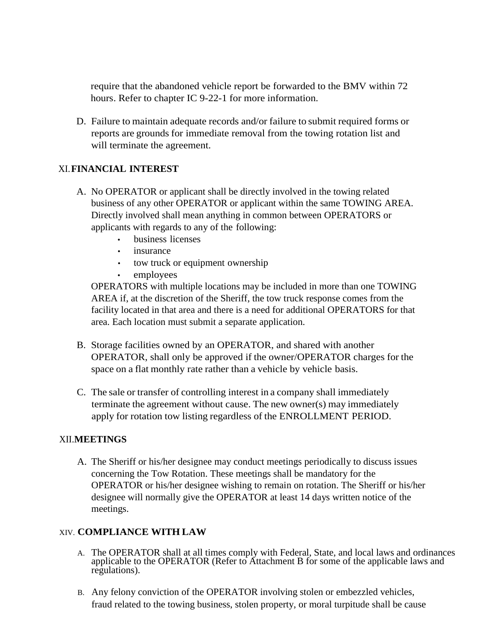require that the abandoned vehicle report be forwarded to the BMV within 72 hours. Refer to chapter IC 9-22-1 for more information.

D. Failure to maintain adequate records and/or failure to submit required forms or reports are grounds for immediate removal from the towing rotation list and will terminate the agreement.

# XI.**FINANCIAL INTEREST**

- A. No OPERATOR or applicant shall be directly involved in the towing related business of any other OPERATOR or applicant within the same TOWING AREA. Directly involved shall mean anything in common between OPERATORS or applicants with regards to any of the following:
	- business licenses
	- *insurance*
	- tow truck or equipment ownership
	- employees

OPERATORS with multiple locations may be included in more than one TOWING AREA if, at the discretion of the Sheriff, the tow truck response comes from the facility located in that area and there is a need for additional OPERATORS for that area. Each location must submit a separate application.

- B. Storage facilities owned by an OPERATOR, and shared with another OPERATOR, shall only be approved if the owner/OPERATOR charges for the space on a flat monthly rate rather than a vehicle by vehicle basis.
- C. The sale or transfer of controlling interest in a company shall immediately terminate the agreement without cause. The new owner(s) may immediately apply for rotation tow listing regardless of the ENROLLMENT PERIOD.

# XII.**MEETINGS**

A. The Sheriff or his/her designee may conduct meetings periodically to discuss issues concerning the Tow Rotation. These meetings shall be mandatory for the OPERATOR or his/her designee wishing to remain on rotation. The Sheriff or his/her designee will normally give the OPERATOR at least 14 days written notice of the meetings.

# XIV. **COMPLIANCE WITH LAW**

- A. The OPERATOR shall at all times comply with Federal, State, and local laws and ordinances applicable to the OPERATOR (Refer to Attachment B for some of the applicable laws and regulations).
- B. Any felony conviction of the OPERATOR involving stolen or embezzled vehicles, fraud related to the towing business, stolen property, or moral turpitude shall be cause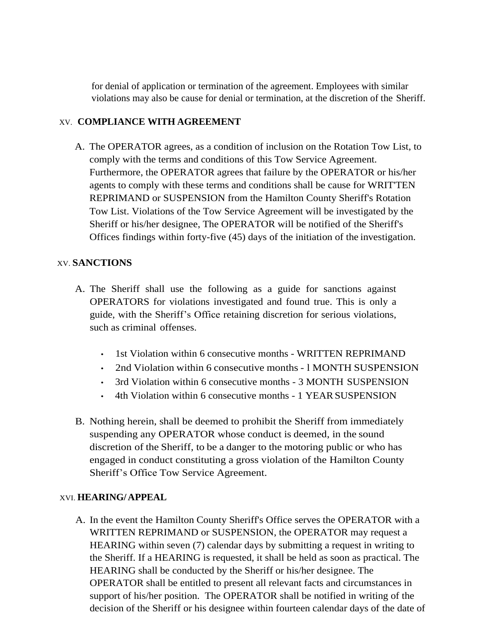for denial of application or termination of the agreement. Employees with similar violations may also be cause for denial or termination, at the discretion of the Sheriff.

# XV. **COMPLIANCE WITH AGREEMENT**

A. The OPERATOR agrees, as a condition of inclusion on the Rotation Tow List, to comply with the terms and conditions of this Tow Service Agreement. Furthermore, the OPERATOR agrees that failure by the OPERATOR or his/her agents to comply with these terms and conditions shall be cause for WRIT'TEN REPRIMAND or SUSPENSION from the Hamilton County Sheriff's Rotation Tow List. Violations of the Tow Service Agreement will be investigated by the Sheriff or his/her designee, The OPERATOR will be notified of the Sheriff's Offices findings within forty-five (45) days of the initiation of the investigation.

# XV. **SANCTIONS**

- A. The Sheriff shall use the following as a guide for sanctions against OPERATORS for violations investigated and found true. This is only a guide, with the Sheriff's Office retaining discretion for serious violations, such as criminal offenses.
	- 1st Violation within 6 consecutive months WRITTEN REPRIMAND
	- 2nd Violation within 6 consecutive months l MONTH SUSPENSION
	- 3rd Violation within 6 consecutive months 3 MONTH SUSPENSION
	- 4th Violation within 6 consecutive months 1 YEARSUSPENSION
- B. Nothing herein, shall be deemed to prohibit the Sheriff from immediately suspending any OPERATOR whose conduct is deemed, in the sound discretion of the Sheriff, to be a danger to the motoring public or who has engaged in conduct constituting a gross violation of the Hamilton County Sheriff's Office Tow Service Agreement.

# XVI. **HEARING/APPEAL**

A. In the event the Hamilton County Sheriff's Office serves the OPERATOR with a WRITTEN REPRIMAND or SUSPENSION, the OPERATOR may request a HEARING within seven (7) calendar days by submitting a request in writing to the Sheriff. If a HEARING is requested, it shall be held as soon as practical. The HEARING shall be conducted by the Sheriff or his/her designee. The OPERATOR shall be entitled to present all relevant facts and circumstances in support of his/her position. The OPERATOR shall be notified in writing of the decision of the Sheriff or his designee within fourteen calendar days of the date of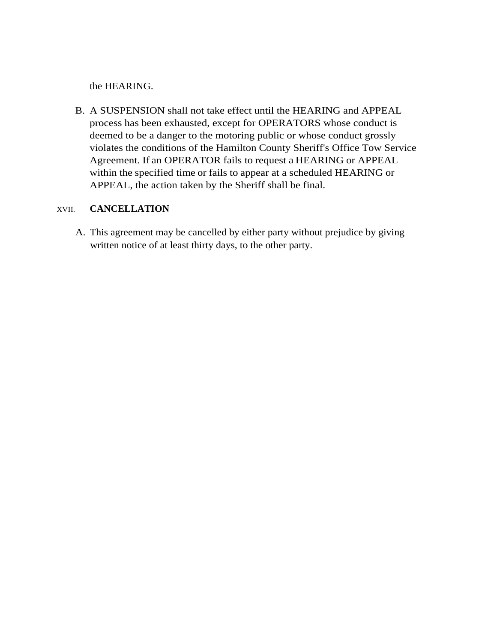the HEARING.

B. A SUSPENSION shall not take effect until the HEARING and APPEAL process has been exhausted, except for OPERATORS whose conduct is deemed to be a danger to the motoring public or whose conduct grossly violates the conditions of the Hamilton County Sheriff's Office Tow Service Agreement. If an OPERATOR fails to request a HEARING or APPEAL within the specified time or fails to appear at a scheduled HEARING or APPEAL, the action taken by the Sheriff shall be final.

# XVII. **CANCELLATION**

A. This agreement may be cancelled by either party without prejudice by giving written notice of at least thirty days, to the other party.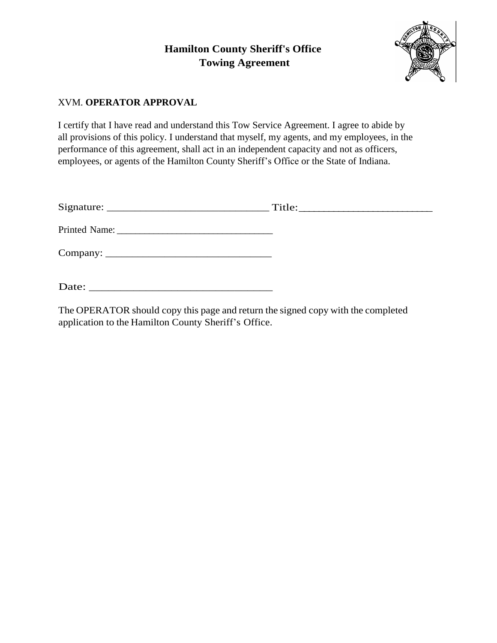

# XVM. **OPERATOR APPROVAL**

I certify that I have read and understand this Tow Service Agreement. I agree to abide by all provisions of this policy. I understand that myself, my agents, and my employees, in the performance of this agreement, shall act in an independent capacity and not as officers, employees, or agents of the Hamilton County Sheriff's Office or the State of Indiana.

|       | Title: |
|-------|--------|
|       |        |
|       |        |
| Date: |        |

The OPERATOR should copy this page and return the signed copy with the completed application to the Hamilton County Sheriff's Office.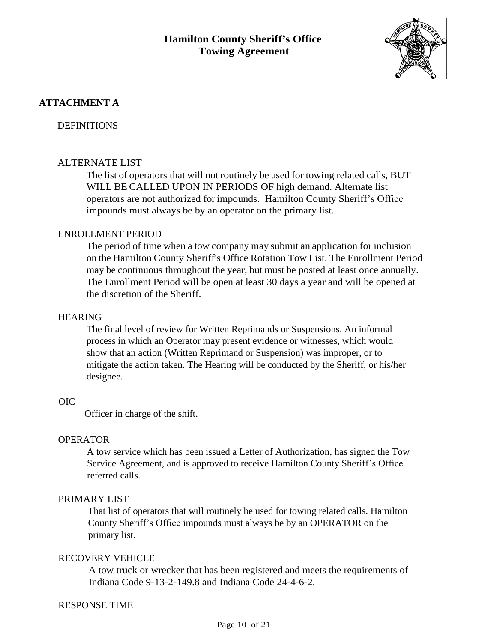

# **ATTACHMENT A**

### **DEFINITIONS**

### ALTERNATE LIST

The list of operators that will not routinely be used for towing related calls, BUT WILL BE CALLED UPON IN PERIODS OF high demand. Alternate list operators are not authorized for impounds. Hamilton County Sheriff's Office impounds must always be by an operator on the primary list.

#### ENROLLMENT PERIOD

The period of time when a tow company may submit an application for inclusion on the Hamilton County Sheriff's Office Rotation Tow List. The Enrollment Period may be continuous throughout the year, but must be posted at least once annually. The Enrollment Period will be open at least 30 days a year and will be opened at the discretion of the Sheriff.

#### HEARING

The final level of review for Written Reprimands or Suspensions. An informal process in which an Operator may present evidence or witnesses, which would show that an action (Written Reprimand or Suspension) was improper, or to mitigate the action taken. The Hearing will be conducted by the Sheriff, or his/her designee.

#### OIC

Officer in charge of the shift.

#### OPERATOR

A tow service which has been issued a Letter of Authorization, has signed the Tow Service Agreement, and is approved to receive Hamilton County Sheriff's Office referred calls.

#### PRIMARY LIST

That list of operators that will routinely be used for towing related calls. Hamilton County Sheriff's Office impounds must always be by an OPERATOR on the primary list.

#### RECOVERY VEHICLE

A tow truck or wrecker that has been registered and meets the requirements of Indiana Code 9-13-2-149.8 and Indiana Code 24-4-6-2.

#### RESPONSE TIME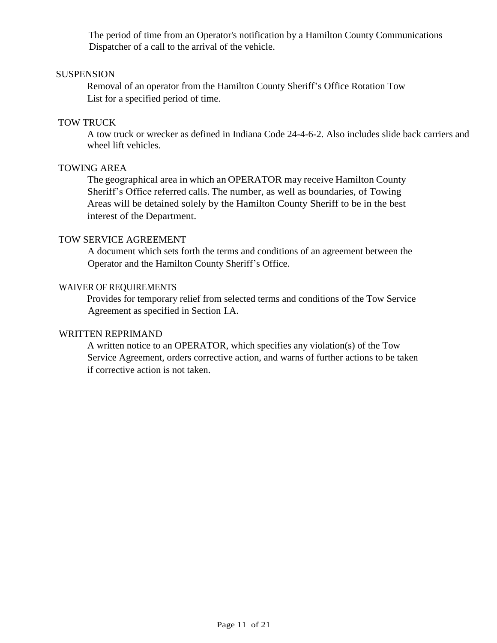The period of time from an Operator's notification by a Hamilton County Communications Dispatcher of a call to the arrival of the vehicle.

#### **SUSPENSION**

Removal of an operator from the Hamilton County Sheriff's Office Rotation Tow List for a specified period of time.

#### TOW TRUCK

A tow truck or wrecker as defined in Indiana Code 24-4-6-2. Also includes slide back carriers and wheel lift vehicles.

#### TOWING AREA

The geographical area in which an OPERATOR may receive Hamilton County Sheriff's Office referred calls. The number, as well as boundaries, of Towing Areas will be detained solely by the Hamilton County Sheriff to be in the best interest of the Department.

#### TOW SERVICE AGREEMENT

A document which sets forth the terms and conditions of an agreement between the Operator and the Hamilton County Sheriff's Office.

#### WAIVER OF REQUIREMENTS

Provides for temporary relief from selected terms and conditions of the Tow Service Agreement as specified in Section I.A.

#### WRITTEN REPRIMAND

A written notice to an OPERATOR, which specifies any violation(s) of the Tow Service Agreement, orders corrective action, and warns of further actions to be taken if corrective action is not taken.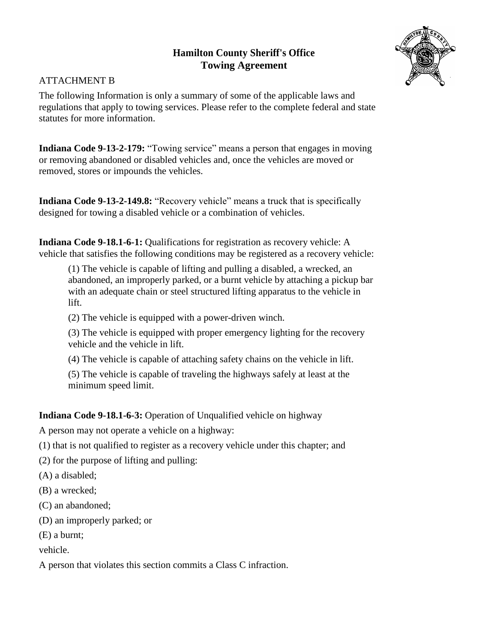

# ATTACHMENT B

The following Information is only a summary of some of the applicable laws and regulations that apply to towing services. Please refer to the complete federal and state statutes for more information.

**Indiana Code 9-13-2-179:** "Towing service" means a person that engages in moving or removing abandoned or disabled vehicles and, once the vehicles are moved or removed, stores or impounds the vehicles.

**Indiana Code 9-13-2-149.8:** "Recovery vehicle" means a truck that is specifically designed for towing a disabled vehicle or a combination of vehicles.

**Indiana Code 9-18.1-6-1:** Qualifications for registration as recovery vehicle: A vehicle that satisfies the following conditions may be registered as a recovery vehicle:

(1) The vehicle is capable of lifting and pulling a disabled, a wrecked, an abandoned, an improperly parked, or a burnt vehicle by attaching a pickup bar with an adequate chain or steel structured lifting apparatus to the vehicle in lift.

(2) The vehicle is equipped with a power-driven winch.

(3) The vehicle is equipped with proper emergency lighting for the recovery vehicle and the vehicle in lift.

(4) The vehicle is capable of attaching safety chains on the vehicle in lift.

(5) The vehicle is capable of traveling the highways safely at least at the minimum speed limit.

**Indiana Code 9-18.1-6-3:** Operation of Unqualified vehicle on highway

A person may not operate a vehicle on a highway:

(1) that is not qualified to register as a recovery vehicle under this chapter; and

(2) for the purpose of lifting and pulling:

(A) a disabled;

(B) a wrecked;

(C) an abandoned;

(D) an improperly parked; or

(E) a burnt;

vehicle.

A person that violates this section commits a Class C infraction.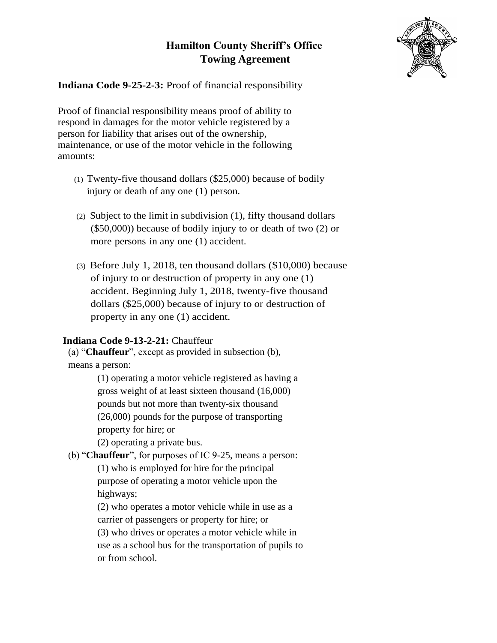

**Indiana Code 9-25-2-3:** Proof of financial responsibility

Proof of financial responsibility means proof of ability to respond in damages for the motor vehicle registered by a person for liability that arises out of the ownership, maintenance, or use of the motor vehicle in the following amounts:

- (1) Twenty-five thousand dollars (\$25,000) because of bodily injury or death of any one (1) person.
- (2) Subject to the limit in subdivision (1), fifty thousand dollars (\$50,000)) because of bodily injury to or death of two (2) or more persons in any one (1) accident.
- (3) Before July 1, 2018, ten thousand dollars (\$10,000) because of injury to or destruction of property in any one (1) accident. Beginning July 1, 2018, twenty-five thousand dollars (\$25,000) because of injury to or destruction of property in any one (1) accident.

# **Indiana Code 9-13-2-21:** Chauffeur

(a) "**Chauffeur**", except as provided in subsection (b), means a person:

> (1) operating a motor vehicle registered as having a gross weight of at least sixteen thousand (16,000) pounds but not more than twenty-six thousand (26,000) pounds for the purpose of transporting property for hire; or

(2) operating a private bus.

(b) "**Chauffeur**", for purposes of IC 9-25, means a person:

(1) who is employed for hire for the principal purpose of operating a motor vehicle upon the highways;

(2) who operates a motor vehicle while in use as a carrier of passengers or property for hire; or

(3) who drives or operates a motor vehicle while in use as a school bus for the transportation of pupils to or from school.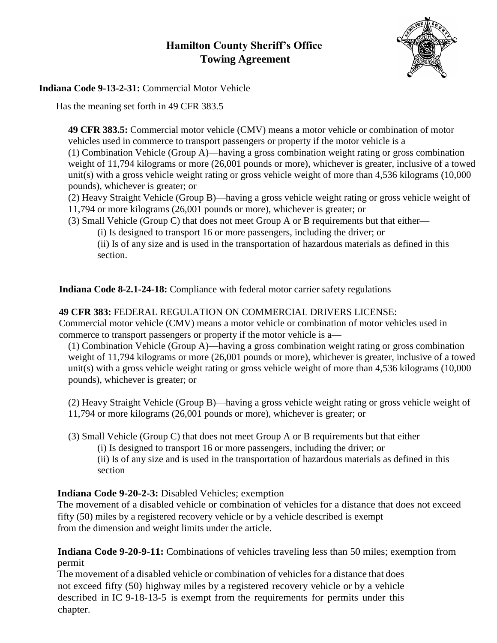

# **Indiana Code 9-13-2-31:** Commercial Motor Vehicle

Has the meaning set forth in 49 CFR 383.5

**49 CFR 383.5:** Commercial motor vehicle (CMV) means a motor vehicle or combination of motor vehicles used in commerce to transport passengers or property if the motor vehicle is a

(1) Combination Vehicle (Group A)—having a gross combination weight rating or gross combination weight of 11,794 kilograms or more (26,001 pounds or more), whichever is greater, inclusive of a towed unit(s) with a gross vehicle weight rating or gross vehicle weight of more than 4,536 kilograms (10,000 pounds), whichever is greater; or

(2) Heavy Straight Vehicle (Group B)—having a gross vehicle weight rating or gross vehicle weight of 11,794 or more kilograms (26,001 pounds or more), whichever is greater; or

(3) Small Vehicle (Group C) that does not meet Group A or B requirements but that either—

(i) Is designed to transport 16 or more passengers, including the driver; or

(ii) Is of any size and is used in the transportation of hazardous materials as defined in this section.

**Indiana Code 8-2.1-24-18:** Compliance with federal motor carrier safety regulations

# **49 CFR 383:** FEDERAL REGULATION ON COMMERCIAL DRIVERS LICENSE:

Commercial motor vehicle (CMV) means a motor vehicle or combination of motor vehicles used in commerce to transport passengers or property if the motor vehicle is a—

(1) Combination Vehicle (Group A)—having a gross combination weight rating or gross combination weight of 11,794 kilograms or more (26,001 pounds or more), whichever is greater, inclusive of a towed unit(s) with a gross vehicle weight rating or gross vehicle weight of more than 4,536 kilograms (10,000 pounds), whichever is greater; or

(2) Heavy Straight Vehicle (Group B)—having a gross vehicle weight rating or gross vehicle weight of 11,794 or more kilograms (26,001 pounds or more), whichever is greater; or

(3) Small Vehicle (Group C) that does not meet Group A or B requirements but that either—

(i) Is designed to transport 16 or more passengers, including the driver; or

(ii) Is of any size and is used in the transportation of hazardous materials as defined in this section

# **Indiana Code 9-20-2-3:** Disabled Vehicles; exemption

The movement of a disabled vehicle or combination of vehicles for a distance that does not exceed fifty (50) miles by a registered recovery vehicle or by a vehicle described is exempt from the dimension and weight limits under the article.

**Indiana Code 9-20-9-11:** Combinations of vehicles traveling less than 50 miles; exemption from permit

The movement of a disabled vehicle or combination of vehicles for a distance that does not exceed fifty (50) highway miles by a registered recovery vehicle or by a vehicle described in IC 9-18-13-5 is exempt from the requirements for permits under this chapter.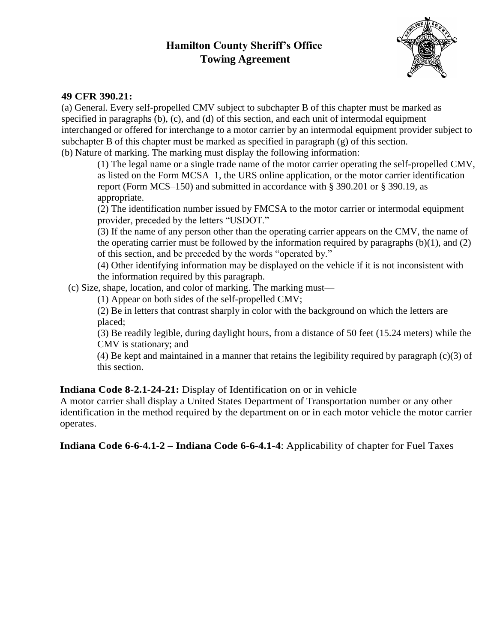

# **49 CFR 390.21:**

(a) General. Every self-propelled CMV subject to subchapter B of this chapter must be marked as specified in paragraphs (b), (c), and (d) of this section, and each unit of intermodal equipment interchanged or offered for interchange to a motor carrier by an intermodal equipment provider subject to subchapter B of this chapter must be marked as specified in paragraph (g) of this section. (b) Nature of marking. The marking must display the following information:

(1) The legal name or a single trade name of the motor carrier operating the self-propelled CMV, as listed on the Form MCSA–1, the URS online application, or the motor carrier identification report (Form MCS–150) and submitted in accordance with § 390.201 or § 390.19, as appropriate.

(2) The identification number issued by FMCSA to the motor carrier or intermodal equipment provider, preceded by the letters "USDOT."

(3) If the name of any person other than the operating carrier appears on the CMV, the name of the operating carrier must be followed by the information required by paragraphs (b)(1), and (2) of this section, and be preceded by the words "operated by."

(4) Other identifying information may be displayed on the vehicle if it is not inconsistent with the information required by this paragraph.

(c) Size, shape, location, and color of marking. The marking must—

(1) Appear on both sides of the self-propelled CMV;

(2) Be in letters that contrast sharply in color with the background on which the letters are placed;

(3) Be readily legible, during daylight hours, from a distance of 50 feet (15.24 meters) while the CMV is stationary; and

(4) Be kept and maintained in a manner that retains the legibility required by paragraph (c)(3) of this section.

# **Indiana Code 8-2.1-24-21:** Display of Identification on or in vehicle

A motor carrier shall display a United States Department of Transportation number or any other identification in the method required by the department on or in each motor vehicle the motor carrier operates.

**Indiana Code 6-6-4.1-2 – Indiana Code 6-6-4.1-4**: Applicability of chapter for Fuel Taxes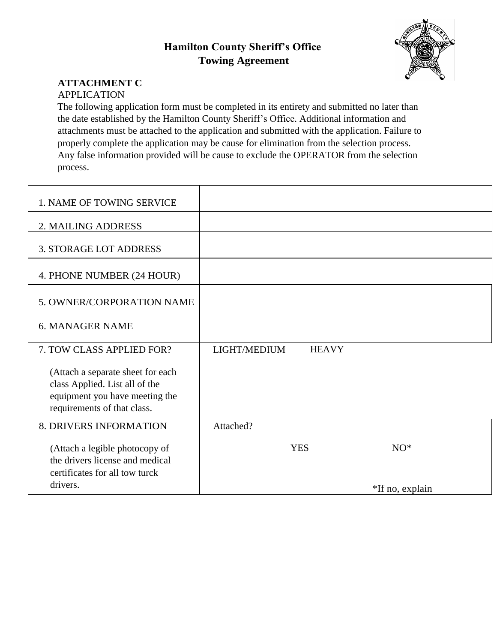

# **ATTACHMENT C**

# APPLICATION

The following application form must be completed in its entirety and submitted no later than the date established by the Hamilton County Sheriff's Office. Additional information and attachments must be attached to the application and submitted with the application. Failure to properly complete the application may be cause for elimination from the selection process. Any false information provided will be cause to exclude the OPERATOR from the selection process.

| 1. NAME OF TOWING SERVICE                                                                                                            |                              |                 |
|--------------------------------------------------------------------------------------------------------------------------------------|------------------------------|-----------------|
| 2. MAILING ADDRESS                                                                                                                   |                              |                 |
| <b>3. STORAGE LOT ADDRESS</b>                                                                                                        |                              |                 |
| 4. PHONE NUMBER (24 HOUR)                                                                                                            |                              |                 |
| 5. OWNER/CORPORATION NAME                                                                                                            |                              |                 |
| <b>6. MANAGER NAME</b>                                                                                                               |                              |                 |
| 7. TOW CLASS APPLIED FOR?                                                                                                            | LIGHT/MEDIUM<br><b>HEAVY</b> |                 |
| (Attach a separate sheet for each<br>class Applied. List all of the<br>equipment you have meeting the<br>requirements of that class. |                              |                 |
| 8. DRIVERS INFORMATION                                                                                                               | Attached?                    |                 |
| (Attach a legible photocopy of<br>the drivers license and medical<br>certificates for all tow turck                                  | <b>YES</b>                   | $NO^*$          |
| drivers.                                                                                                                             |                              | *If no, explain |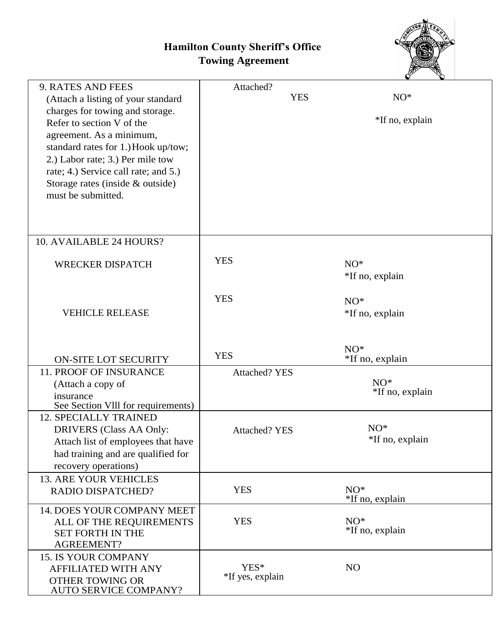

| 9. RATES AND FEES<br>(Attach a listing of your standard<br>charges for towing and storage.<br>Refer to section V of the<br>agreement. As a minimum,<br>standard rates for 1.) Hook up/tow;<br>2.) Labor rate; 3.) Per mile tow<br>rate; 4.) Service call rate; and 5.)<br>Storage rates (inside & outside) | Attached?<br><b>YES</b>  | $NO^*$<br>*If no, explain |
|------------------------------------------------------------------------------------------------------------------------------------------------------------------------------------------------------------------------------------------------------------------------------------------------------------|--------------------------|---------------------------|
| must be submitted.                                                                                                                                                                                                                                                                                         |                          |                           |
| 10. AVAILABLE 24 HOURS?                                                                                                                                                                                                                                                                                    |                          |                           |
| <b>WRECKER DISPATCH</b>                                                                                                                                                                                                                                                                                    | <b>YES</b>               | $NO^*$<br>*If no, explain |
| <b>VEHICLE RELEASE</b>                                                                                                                                                                                                                                                                                     | <b>YES</b>               | $NO^*$<br>*If no, explain |
| <b>ON-SITE LOT SECURITY</b>                                                                                                                                                                                                                                                                                | <b>YES</b>               | $NO^*$<br>*If no, explain |
| 11. PROOF OF INSURANCE<br>(Attach a copy of<br>insurance<br>See Section VIII for requirements)                                                                                                                                                                                                             | <b>Attached? YES</b>     | $NO^*$<br>*If no, explain |
| <b>12. SPECIALLY TRAINED</b><br><b>DRIVERS</b> (Class AA Only:<br>Attach list of employees that have<br>had training and are qualified for<br>recovery operations)                                                                                                                                         | <b>Attached? YES</b>     | $NO^*$<br>*If no, explain |
| <b>13. ARE YOUR VEHICLES</b><br>RADIO DISPATCHED?                                                                                                                                                                                                                                                          | <b>YES</b>               | $NO^*$<br>*If no, explain |
| 14. DOES YOUR COMPANY MEET<br>ALL OF THE REQUIREMENTS<br><b>SET FORTH IN THE</b><br><b>AGREEMENT?</b>                                                                                                                                                                                                      | <b>YES</b>               | $NO^*$<br>*If no, explain |
| <b>15. IS YOUR COMPANY</b><br><b>AFFILIATED WITH ANY</b><br><b>OTHER TOWING OR</b><br><b>AUTO SERVICE COMPANY?</b>                                                                                                                                                                                         | YES*<br>*If yes, explain | NO                        |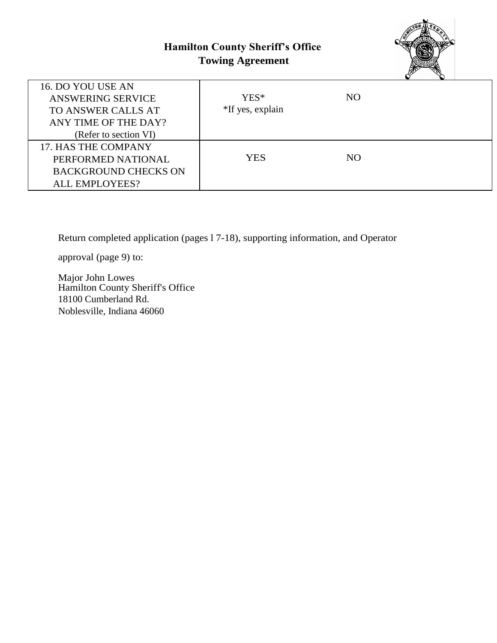

| 16. DO YOU USE AN           |                  |    |  |
|-----------------------------|------------------|----|--|
| <b>ANSWERING SERVICE</b>    | YES*             | NO |  |
| TO ANSWER CALLS AT          | *If yes, explain |    |  |
| ANY TIME OF THE DAY?        |                  |    |  |
| (Refer to section VI)       |                  |    |  |
| 17. HAS THE COMPANY         |                  |    |  |
| PERFORMED NATIONAL          | YES.             | NO |  |
| <b>BACKGROUND CHECKS ON</b> |                  |    |  |
| <b>ALL EMPLOYEES?</b>       |                  |    |  |
|                             |                  |    |  |

Return completed application (pages l 7-18), supporting information, and Operator

approval (page 9) to:

Major John Lowes Hamilton County Sheriff's Office 18100 Cumberland Rd. Noblesville, Indiana 46060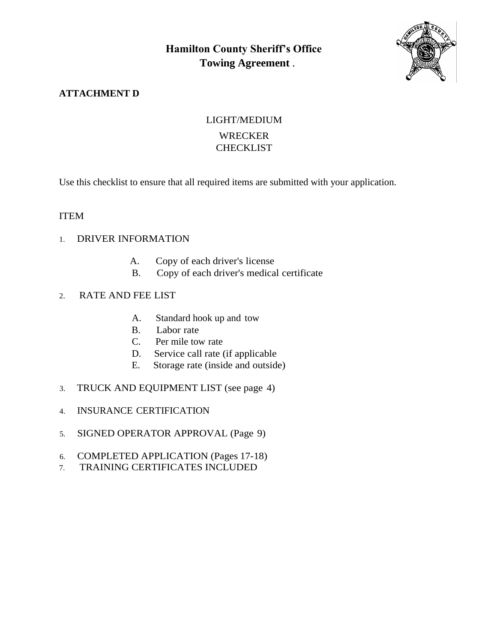

# **ATTACHMENT D**

# LIGHT/MEDIUM WRECKER **CHECKLIST**

Use this checklist to ensure that all required items are submitted with your application.

# ITEM

- 1. DRIVER INFORMATION
	- A. Copy of each driver's license
	- B. Copy of each driver's medical certificate

# 2. RATE AND FEE LIST

- A. Standard hook up and tow
- B. Labor rate
- C. Per mile tow rate
- D. Service call rate (if applicable
- E. Storage rate (inside and outside)
- 3. TRUCK AND EQUIPMENT LIST (see page 4)
- 4. INSURANCE CERTIFICATION
- 5. SIGNED OPERATOR APPROVAL (Page 9)
- 6. COMPLETED APPLICATION (Pages 17-18)
- 7. TRAINING CERTIFICATES INCLUDED